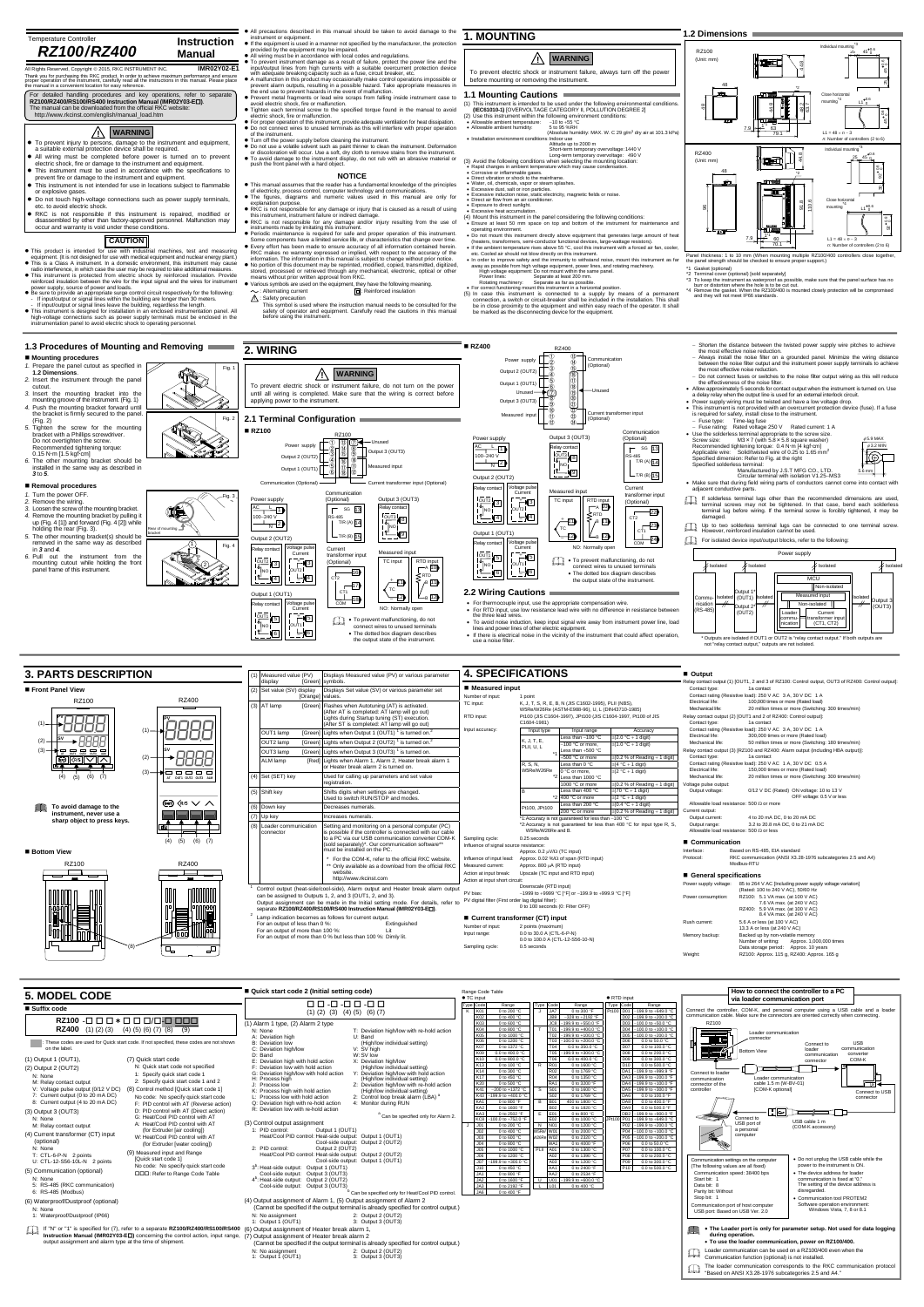## Temperature Controller  $RZ100/RZ400$

# All Rights Reserved, Copyright © 2015, RKC INSTRUMENT INC.<br>Thank you for purchasing this RKC product. In order to achieve maximum performance and ensure<br>proper operation of the instrument, carefully read all the instructio

For detailed handling procedures and key operations, refer to separate<br>RZ100/RZ400/RS100/RS400 Instruction Manual (IMR02Y03-ED).<br>The manual can be downloaded from the official RKC website:<br>http://www.rkcinst.com/english/ma

- 
- This product is intended for use with industrial machines, test and measuring<br>equipment. (It is not designed for use with medical equipment and nuclear energy plant.)<br>• This is a Class A instrument. In a domestic environ
- reinforced insulation between the wire for the input signal and the wires for instrument
- power supply, source of power and loads.<br> **e** Be sure to provide an appropriate surge control circuit respectively for the following:<br>
Thiput/output or signal lines within the building are longer than 30 meters.<br>
Thiput/ou
- high-voltage connections such as power supply terminals must be enclosed in the instrumentation panel to avoid electric shock to operating personnel.
- operating environment. Do not mount this instrument directly above equipment that generates large amount of heat
- 
- (heaters, transformers, semi-conductor functional devices, large-wattage resistors).<br>
 If the ambient temperature rises above 55 °C, cod this instrument with a forced air fan, cooler,<br>
 etc. Cooled air should not blow d
	-
	-

Power supply  $\Box^{\mathbb{O}}_{\mathbb{Q}}$ 

Output 2 (OUT2) Output 1 (OUT1)  $\Box$ 

### **NOTICE**

- This manual assumes that the reader has a fundamental knowledge of the principles<br>of electricity, process control, computer technology and communications.<br>● The figures, diagrams and numeric values used in this manual a explanation purpose.
- RKC is not responsible for any damage or injury that is caused as a result of using this instrument, instrument failure or indirect damage.
- 
- RKC is not responsible for any damage and/or injury resulting from the use of<br>
 RKC is not responsible for any damage and proper operation of this instrument.<br>
 Periodic maintenance is required for safe and proper ope
- 
- 
- 

: Alternating current : Reinforced insulation

 Shorten the distance between the twisted power supply wire pitches to achieve the most effective noise reduction. Always install the noise filter on a grounded panel. Minimize the wiring distance between the noise filter output and the instrument power supply terminals to achieve



**1.2 Dimensions**

**1.3 Procedures of Mounting and Removing**

**Mounting procedures**

**1.2 Dimensions**.

1. Prepare the panel cutout as specified in

**2. WIRING** 

# $\triangle$

**RZ400** 

(5) In case this instrument is connected to a supply by means of a permanent connection, a switch or circuit-breaker shall be included in the installation. This shall be included in the installation. This shall be in close

RZ400 ⑬ ⑭ ⑮ ⑯ ⑰ RZ100 (Unit: mm)

**1. MOUNTING Instruction** 

All precautions described in this manual should be taken to avoid damage to the<br>
intercentions described in a manner or stypenet.<br>
If the equipment is used in a manner or stypened in the provided by the equipment may be im

- Tighten each terminal screw to the specified torque found in the manual to avoid<br>• electric shock, fire or malfunction.<br>• For proper operation of this instrument, provide adequate ventilation for heat dissipation.<br>• Do n
- 
- Turn off the power supply before cleaning the instrument.<br>
 Do not use a volatile solvent such as paint thinner to clean the instrument. Deformation<br>
or discoloration will occur. Use a soft, dry cloth to remove stains f





| <b>5. MODEL CODE</b>                                                                                                                                                                                                                                                                                                                                                                                                                                                                                                                                                                                                                                                                                                                                                                                                                                                                                                                                                                                                                                                                                                  | ■ Quick start code 2 (Initial setting code)                                                                                                                                                                                                                                                                                                                                                                                                                                                                                                                                                                                                                                                                                                                                                                                                                                                                                                                                                                                                                                                                                                                                                                                                                                                    | Range Code Table                                                                                                                                                                                                                                                                                                                                                                                                                                                                                                                                                                                                                                                                                                                                                                                                                                                                                                                                                                                                                                                                                                                                                                                                                                                                                                                                                                                                                                                                                                                                                                                                                                                                                                                                                                                                                                                                   | How to connect the controller to a PC                                                                                                                                                                                                                                                                                                                                                                                                                                                                                                                                                                                                                                                                                                                |
|-----------------------------------------------------------------------------------------------------------------------------------------------------------------------------------------------------------------------------------------------------------------------------------------------------------------------------------------------------------------------------------------------------------------------------------------------------------------------------------------------------------------------------------------------------------------------------------------------------------------------------------------------------------------------------------------------------------------------------------------------------------------------------------------------------------------------------------------------------------------------------------------------------------------------------------------------------------------------------------------------------------------------------------------------------------------------------------------------------------------------|------------------------------------------------------------------------------------------------------------------------------------------------------------------------------------------------------------------------------------------------------------------------------------------------------------------------------------------------------------------------------------------------------------------------------------------------------------------------------------------------------------------------------------------------------------------------------------------------------------------------------------------------------------------------------------------------------------------------------------------------------------------------------------------------------------------------------------------------------------------------------------------------------------------------------------------------------------------------------------------------------------------------------------------------------------------------------------------------------------------------------------------------------------------------------------------------------------------------------------------------------------------------------------------------|------------------------------------------------------------------------------------------------------------------------------------------------------------------------------------------------------------------------------------------------------------------------------------------------------------------------------------------------------------------------------------------------------------------------------------------------------------------------------------------------------------------------------------------------------------------------------------------------------------------------------------------------------------------------------------------------------------------------------------------------------------------------------------------------------------------------------------------------------------------------------------------------------------------------------------------------------------------------------------------------------------------------------------------------------------------------------------------------------------------------------------------------------------------------------------------------------------------------------------------------------------------------------------------------------------------------------------------------------------------------------------------------------------------------------------------------------------------------------------------------------------------------------------------------------------------------------------------------------------------------------------------------------------------------------------------------------------------------------------------------------------------------------------------------------------------------------------------------------------------------------------|------------------------------------------------------------------------------------------------------------------------------------------------------------------------------------------------------------------------------------------------------------------------------------------------------------------------------------------------------------------------------------------------------------------------------------------------------------------------------------------------------------------------------------------------------------------------------------------------------------------------------------------------------------------------------------------------------------------------------------------------------|
|                                                                                                                                                                                                                                                                                                                                                                                                                                                                                                                                                                                                                                                                                                                                                                                                                                                                                                                                                                                                                                                                                                                       | $00-0-00-0$                                                                                                                                                                                                                                                                                                                                                                                                                                                                                                                                                                                                                                                                                                                                                                                                                                                                                                                                                                                                                                                                                                                                                                                                                                                                                    | ● TC input<br>· RTD input<br>Type Code<br><b>Type Code</b><br>Range<br>Range<br>Range                                                                                                                                                                                                                                                                                                                                                                                                                                                                                                                                                                                                                                                                                                                                                                                                                                                                                                                                                                                                                                                                                                                                                                                                                                                                                                                                                                                                                                                                                                                                                                                                                                                                                                                                                                                              | via loader communication port                                                                                                                                                                                                                                                                                                                                                                                                                                                                                                                                                                                                                                                                                                                        |
| ■ Suffix code                                                                                                                                                                                                                                                                                                                                                                                                                                                                                                                                                                                                                                                                                                                                                                                                                                                                                                                                                                                                                                                                                                         | $(1)$ $(2)$ $(3)$ $(4)$ $(5)$ $(6)$ $(7)$                                                                                                                                                                                                                                                                                                                                                                                                                                                                                                                                                                                                                                                                                                                                                                                                                                                                                                                                                                                                                                                                                                                                                                                                                                                      | Type Code<br>JA7<br>0 to 300 °F<br>Pt100 D01<br>$-199.9$ to $+649.0$ <sup>o</sup><br>K01<br>0 to 200 °C                                                                                                                                                                                                                                                                                                                                                                                                                                                                                                                                                                                                                                                                                                                                                                                                                                                                                                                                                                                                                                                                                                                                                                                                                                                                                                                                                                                                                                                                                                                                                                                                                                                                                                                                                                            | Connect the controller, COM-K, and personal computer using a USB cable and a loader                                                                                                                                                                                                                                                                                                                                                                                                                                                                                                                                                                                                                                                                  |
| $RZ100 - \Box \Box \Box * \Box \Box \Box / \Box - \Box \Box \Box$<br><b>RZ400</b> (1) (2) (3) (4) (5) (6) (7) (8) (9)                                                                                                                                                                                                                                                                                                                                                                                                                                                                                                                                                                                                                                                                                                                                                                                                                                                                                                                                                                                                 | (1) Alarm 1 type, (2) Alarm 2 type<br>N: None<br>T: Deviation high/low with re-hold action<br>A: Deviation high<br>U: Band                                                                                                                                                                                                                                                                                                                                                                                                                                                                                                                                                                                                                                                                                                                                                                                                                                                                                                                                                                                                                                                                                                                                                                     | JB9<br>D02<br>$-328$ to $+2192$ °F<br>$-199.9$ to $+200.0$ °<br>K02<br>0 to 400 °C<br>$-199.9$ to $+550.0$ °<br>D <sub>03</sub><br>0 to 600 °C<br>-100.0 to +50.0 °C<br>IC8 I<br>D04<br>T01 -199.9 to +400.0 °<br>$-100.0$ to $+100.0$ °<br>0 to 800 °C<br>D <sub>05</sub><br>T02 -199.9 to +100.0 °C<br>-100.0 to +200.0 $^{\circ}$<br>0 to 1000 °C                                                                                                                                                                                                                                                                                                                                                                                                                                                                                                                                                                                                                                                                                                                                                                                                                                                                                                                                                                                                                                                                                                                                                                                                                                                                                                                                                                                                                                                                                                                               | communication cable. Make sure the connectors are oriented correctly when connecting.<br>RZ100<br><b>Tariff</b><br>Loader communication<br>- connector                                                                                                                                                                                                                                                                                                                                                                                                                                                                                                                                                                                               |
| These codes are used for Quick start code. If not specified, these codes are not shown<br>on the label.                                                                                                                                                                                                                                                                                                                                                                                                                                                                                                                                                                                                                                                                                                                                                                                                                                                                                                                                                                                                               | B: Deviation low<br>(High/low individual setting)<br>C: Deviation high/low<br>V: SV high<br>$D:$ Band<br>W: SV low                                                                                                                                                                                                                                                                                                                                                                                                                                                                                                                                                                                                                                                                                                                                                                                                                                                                                                                                                                                                                                                                                                                                                                             | K06<br>D <sub>06</sub><br>0 to 1200 °C<br>T03 -100.0 to +200.0 °C<br>0.0 to 50.0 °C<br>D07<br>T <sub>04</sub><br>0 to 1372 °C<br>0.0 to 350.0 °C<br>0.0 to 100.0 °C<br>D <sub>08</sub><br>T05 -199.9 to +300.0 °C<br>0.0 to 400.0 °C<br>0.0 to 200.0 °C<br>kud                                                                                                                                                                                                                                                                                                                                                                                                                                                                                                                                                                                                                                                                                                                                                                                                                                                                                                                                                                                                                                                                                                                                                                                                                                                                                                                                                                                                                                                                                                                                                                                                                     | <b>USB</b><br>Connect to<br>— <del>— —</del><br>communication<br>loader<br><b>Bottom View</b><br>converter<br>communication                                                                                                                                                                                                                                                                                                                                                                                                                                                                                                                                                                                                                          |
| (1) Output 1 (OUT1).<br>(7) Quick start code<br>N: Quick start code not specified<br>(2) Output 2 (OUT2)<br>1: Specify quick start code 1<br>N: None<br>2: Specify quick start code 1 and 2<br>M: Relay contact output<br>V: Voltage pulse output (0/12 V DC)<br>(8) Control method [Quick start code 1]<br>7: Current output (0 to 20 mA DC)<br>No code: No specify quick start code<br>8: Current output (4 to 20 mA DC)<br>F: PID control with AT (Reverse action)<br>D: PID control with AT (Direct action)<br>(3) Output 3 (OUT3)<br>G: Heat/Cool PID control with AT<br>N: None<br>A: Heat/Cool PID control with AT<br>M: Relay contact output<br>(for Extruder fair cooling)<br>(4) Current transformer (CT) input<br>W: Heat/Cool PID control with AT<br>(optional)<br>(for Extruder [water cooling])<br>N: None<br>(9) Measured input and Range<br>T: CTL-6-P-N 2 points<br>[Quick start code 1]<br>U: CTL-12-S56-10L-N 2 points<br>No code: No specify quick start code<br>(5) Communication (optional)<br>□□□: Refer to Range Code Table<br>N: None<br>5: RS-485 (RKC communication)<br>6: RS-485 (Modbus) | X: Deviation high/low<br>E: Deviation high with hold action<br>F: Deviation low with hold action<br>(High/low individual setting)<br>Y: Deviation high/low with hold action<br>G: Deviation high/low with hold action<br>(High/low individual setting)<br>H: Process high<br>Z: Deviation high/low with re-hold action<br>J: Process low<br>(High/low individual setting)<br>K: Process high with hold action<br>2: Control loop break alarm (LBA) <sup>a</sup><br>L: Process low with hold action<br>Q: Deviation high with re-hold action<br>4: Monitor during RUN<br>R: Deviation low with re-hold action<br><sup>a</sup> Can be specified only for Alarm 2.<br>(3) Control output assignment<br>1: PID control:<br>Output 1 (OUT1)<br>Heat/Cool PID control: Heat-side output: Output 1 (OUT1)<br>Cool-side output: Output 2 (OUT2)<br>2: PID control:<br>Output 2 (OUT2)<br>Heat/Cool PID control: Heat-side output: Output 2 (OUT2)<br>Cool-side output: Output 1 (OUT1)<br>3 <sup>b</sup> : Heat-side output: Output 1 (OUT1)<br>Cool-side output: Output 3 (OUT3)<br>4 <sup>b</sup> : Heat-side output: Output 2 (OUT2)<br>Cool-side output: Output 3 (OUT3)<br>Can be specified only for Heat/Cool PID control.<br>(4) Output assignment of Alarm 1, (5) Output assignment of Alarm 2 | D <sub>09</sub><br>0.0 to 400.0 °C<br>0.0 to 300.0 °C<br>0.0 to 800.0 °C<br>D <sub>10</sub><br>R01<br>0 to 1600 °C<br>0.0 to 500.0 °C<br>0 to 100 °C<br>DA1<br>0 to 300 °C<br>0 to 1769 °C<br>$-199.9$ to $+999.9$ °<br>DA3<br>0 to 450 °C<br>0 to 1350 °C<br>-199.9 to +200.0 °F<br>DA4<br>RA <sub>1</sub><br>K20<br>0 to 500 °C<br>0 to 3200 °F<br>$-199.9$ to $+100.0$ °F<br>K41<br>DA <sub>5</sub><br>S01<br>-199.9 to +300.0 °F<br>$-200$ to +1372 °C<br>0 to 1600 °C<br>DA6<br>S02<br>0.0 to 100.0 °F<br>K43<br>$-199.9$ to $+400.0$ <sup>o</sup><br>0 to 1769 °C<br>DA <sub>8</sub><br>KA <sub>1</sub><br>0 to 800 °F<br><b>B01</b><br>400 to 1800 °C<br>0.0 to 400.0 °F<br>DA <sub>9</sub><br>KA <sub>2</sub><br>0 to 1600 °F<br>0 to 1820 °C<br>0.0 to 500.0 °F<br>DB <sub>2</sub><br>KA3<br>0 to 800 °C<br>$-199.9$ to $+900.0$ °<br>0 to 2502 °F<br>E <sub>01</sub><br>KCS<br>00.0 to +752.0 °<br>0 to 1000 °C<br>0 P01<br>$-199.9$ to $+649.0$ °<br>P02<br>0 to 200 °C<br>N N01<br>0 to 1200 °C<br>-199.9 to +200.0 °C<br>J <sub>01</sub><br>W5Re/<br>P <sub>04</sub><br>0 to 400 °C<br>0 to 2000 °C<br>$-100.0$ to $+100.0$ °C<br>J <sub>02</sub><br>W26Re W02<br>P <sub>05</sub><br>J03<br>0 to 2320 °C<br>$-100.0$ to $+200.0$ °C<br>0 to 600 °C<br>P06<br>J <sub>04</sub><br>WA1<br>0 to 4000 °F<br>0.0 to 50.0 °C<br>0 to 800 °C<br>P07<br>J05<br>PLII A01<br>0 to 1300 °C<br>0.0 to 100.0 °C<br>0 to 1000 °C<br>P <sub>08</sub><br>$-106$<br>0 to 1200 °C<br>A02<br>0 to 1390 °C<br>0.0 to 200.0 °C<br>P <sub>09</sub><br>0 to 1200 °C<br>0.0 to 300.0 °C<br>199.9 to +300.0 °<br>107<br>P <sub>10</sub><br>AA1<br>0 to 2400 °F<br>0.0 to 500.0 °C<br>0 to 450 °C<br>AA <sub>2</sub><br>0 to 2534 °F<br>0 to 800 °F<br>$-199.9$ to +600.0 °C<br>$U$ $U$ 01<br>0 to 1600 °F<br>0 to 2192 °F<br>$L$ $L$ $D1$<br>JA3<br>0 to 400 $\degree$ C<br>aAl.<br>0 to 400 °F | COM-K<br>connector<br>Connect to loader<br>Loader communication<br>communication<br>cable 1.5 m (W-BV-01)<br>connector of the<br>[COM-K optional]<br>controller<br>Connect to USB<br>connector<br><u>rna</u><br>$\iff$<br>Connect to<br>USB cable 1 m<br>USB port of<br>(COM-K accessory)<br>a personal<br>computer<br>. Do not unplug the USB cable while the<br>Communication settings on the computer<br>power to the instrument is ON.<br>(The following values are all fixed)<br>Communication speed: 38400 bps<br>• The device address for loader<br>communication is fixed at "0."<br>Start bit: 1<br>The setting of the device address is<br>Data bit: 8<br>disregarded.<br>Parity bit: Without<br>Stop bit:<br>• Communication tool PROTEM2 |
| (6) Waterproof/Dustproof (optional)<br>N: None<br>1: Waterproof/Dustproof (IP66)                                                                                                                                                                                                                                                                                                                                                                                                                                                                                                                                                                                                                                                                                                                                                                                                                                                                                                                                                                                                                                      | (Cannot be specified if the output terminal is already specified for control output.)<br>2: Output 2 (OUT2)<br>N: No assignment<br>3: Output 3 (OUT3)<br>1: Output 1 (OUT1)                                                                                                                                                                                                                                                                                                                                                                                                                                                                                                                                                                                                                                                                                                                                                                                                                                                                                                                                                                                                                                                                                                                    |                                                                                                                                                                                                                                                                                                                                                                                                                                                                                                                                                                                                                                                                                                                                                                                                                                                                                                                                                                                                                                                                                                                                                                                                                                                                                                                                                                                                                                                                                                                                                                                                                                                                                                                                                                                                                                                                                    | Software operation environment<br>Communication port of host computer<br>Windows Vista, 7, 8 or 8.1<br>USB port: Based on USB Ver. 2.0                                                                                                                                                                                                                                                                                                                                                                                                                                                                                                                                                                                                               |
| If "N" or "1" is specified for (7), refer to a separate RZ100/RZ400/RS100/RS400 (6) Output assignment of Heater break alarm 1.<br>Instruction Manual (IMR02Y03-EL) concerning the control action, input range, (7) Output assignment of Heater break alarm 2<br>output assignment and alarm type at the time of shipment                                                                                                                                                                                                                                                                                                                                                                                                                                                                                                                                                                                                                                                                                                                                                                                              | (Cannot be specified if the output terminal is already specified for control output.)                                                                                                                                                                                                                                                                                                                                                                                                                                                                                                                                                                                                                                                                                                                                                                                                                                                                                                                                                                                                                                                                                                                                                                                                          |                                                                                                                                                                                                                                                                                                                                                                                                                                                                                                                                                                                                                                                                                                                                                                                                                                                                                                                                                                                                                                                                                                                                                                                                                                                                                                                                                                                                                                                                                                                                                                                                                                                                                                                                                                                                                                                                                    | • The Loader port is only for parameter setup. Not used for data logging<br>during operation.<br>. To use the loader communication, power on RZ100/400.                                                                                                                                                                                                                                                                                                                                                                                                                                                                                                                                                                                              |
|                                                                                                                                                                                                                                                                                                                                                                                                                                                                                                                                                                                                                                                                                                                                                                                                                                                                                                                                                                                                                                                                                                                       | 2: Output 2 (OUT2)<br>N: No assignment<br>1: Output 1 (OUT1)<br>3: Output 3 (OUT3)                                                                                                                                                                                                                                                                                                                                                                                                                                                                                                                                                                                                                                                                                                                                                                                                                                                                                                                                                                                                                                                                                                                                                                                                             |                                                                                                                                                                                                                                                                                                                                                                                                                                                                                                                                                                                                                                                                                                                                                                                                                                                                                                                                                                                                                                                                                                                                                                                                                                                                                                                                                                                                                                                                                                                                                                                                                                                                                                                                                                                                                                                                                    | Loader communication can be used on a RZ100/400 even when the<br>吅<br>Communication function (optional) is not installed.                                                                                                                                                                                                                                                                                                                                                                                                                                                                                                                                                                                                                            |
|                                                                                                                                                                                                                                                                                                                                                                                                                                                                                                                                                                                                                                                                                                                                                                                                                                                                                                                                                                                                                                                                                                                       |                                                                                                                                                                                                                                                                                                                                                                                                                                                                                                                                                                                                                                                                                                                                                                                                                                                                                                                                                                                                                                                                                                                                                                                                                                                                                                |                                                                                                                                                                                                                                                                                                                                                                                                                                                                                                                                                                                                                                                                                                                                                                                                                                                                                                                                                                                                                                                                                                                                                                                                                                                                                                                                                                                                                                                                                                                                                                                                                                                                                                                                                                                                                                                                                    | The loader communication corresponds to the RKC communication protocol<br>The loader communication concepting and A4."<br>"Based on ANSI X3.28-1976 subcategories 2.5 and A4."                                                                                                                                                                                                                                                                                                                                                                                                                                                                                                                                                                       |

# **CAUTION**

- To prevent injury to persons, damage to the instrument and equipment, a suitable external protection device shall be required.
- All wiring must be completed before power is turned on to prevent electric shock, fire or damage to the instrument and equipment.
- 
- This instrument must be used in accordance with the specifications to prevent fire or damage to the instrument<br>prevent fire or damage to the instrument and equipment.<br>• This instrument is not intended for use in locatio
- or explosive gases.
- Do not touch high-voltage connections such as power supply terminals, etc. to avoid electric shock.
- RKC is not responsible if this instrument is repaired, modified or disassembled by other than factory-approved personnel. Malfunction may occur and warranty is void under these conditions.

# **! WARNING**

③ ④ ⑤ Communication (Optional)

48

Panel thickness: 1 to 10 mm (When mounting multiple RZ100/400 controllers close together,<br>the panel strength should be checked to ensure proper support.)<br>11 Gasket (optional) [sold separately]<br>22 Terminal cover (optional)

\*2

雌子

 $25$  45 0.6

Individual mounting\*3



Close horizontal mounting\*4

 $45^{+0.6}_{-0.6}$  $^{\circ}$ 23

Fig. 1

**! WARNING**